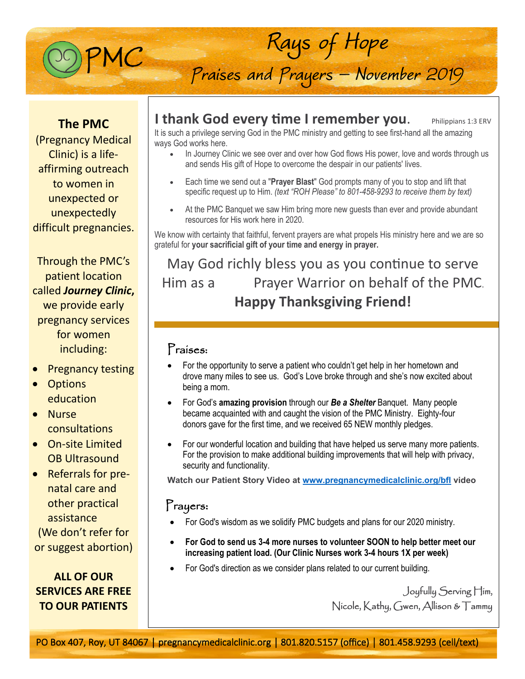

Praises and Prayers - November 2019

Rays of Hope

### **The PMC**

(Pregnancy Medical Clinic) is a lifeaffirming outreach to women in unexpected or unexpectedly difficult pregnancies.

Through the PMC's patient location called *Journey Clinic***,** we provide early pregnancy services for women including:

- **Pregnancy testing**
- Options education
- Nurse consultations
- On-site Limited OB Ultrasound
- Referrals for prenatal care and other practical assistance

(We don't refer for or suggest abortion)

# **ALL OF OUR SERVICES ARE FREE TO OUR PATIENTS**

# **I thank God every time I remember you.** Philippians 1:3 ERV

It is such a privilege serving God in the PMC ministry and getting to see first-hand all the amazing ways God works here.

- In Journey Clinic we see over and over how God flows His power, love and words through us and sends His gift of Hope to overcome the despair in our patients' lives.
- Each time we send out a "**Prayer Blast**" God prompts many of you to stop and lift that specific request up to Him. *(text "ROH Please" to 801-458-9293 to receive them by text)*
- At the PMC Banquet we saw Him bring more new guests than ever and provide abundant resources for His work here in 2020.

We know with certainty that faithful, fervent prayers are what propels His ministry here and we are so grateful for **your sacrificial gift of your time and energy in prayer.**

May God richly bless you as you continue to serve Him as a Prayer Warrior on behalf of the PMC. **Happy Thanksgiving Friend!**

### Praises:

- For the opportunity to serve a patient who couldn't get help in her hometown and drove many miles to see us. God's Love broke through and she's now excited about being a mom.
- For God's **amazing provision** through our *Be a Shelter* Banquet. Many people became acquainted with and caught the vision of the PMC Ministry. Eighty-four donors gave for the first time, and we received 65 NEW monthly pledges.
- For our wonderful location and building that have helped us serve many more patients. For the provision to make additional building improvements that will help with privacy, security and functionality.

**Watch our Patient Story Video at [www.pregnancymedicalclinic.org/bfl](http://www.pregnancymedicalclinic.org/bfl) video**

## Prayers:

- For God's wisdom as we solidify PMC budgets and plans for our 2020 ministry.
- **For God to send us 3-4 more nurses to volunteer SOON to help better meet our increasing patient load. (Our Clinic Nurses work 3-4 hours 1X per week)**
- For God's direction as we consider plans related to our current building.

Joyfully Serving Him, Nicole, Kathy, Gwen, Allison & Tammy

PO Box 407, Roy, UT 84067 | pregnancymedicalclinic.org | 801.820.5157 (office) | 801.458.9293 (cell/text)